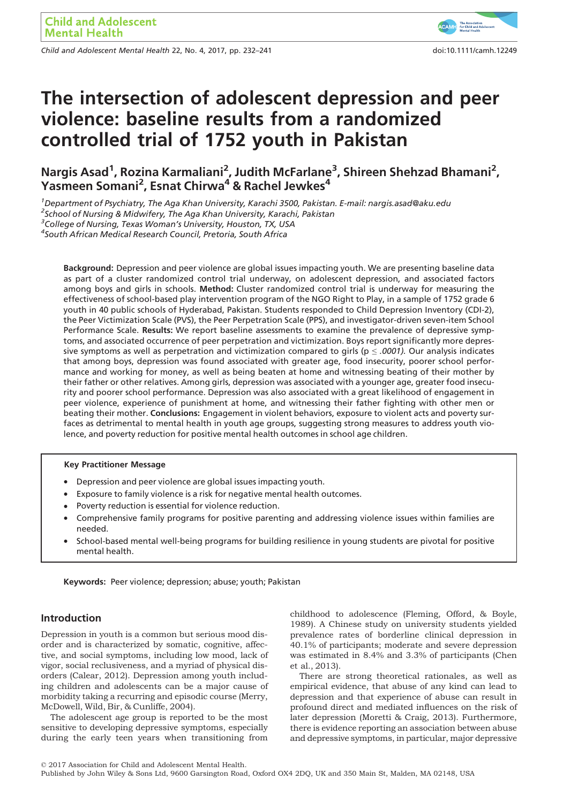Child and Adolescent Mental Health 22, No. 4, 2017, pp. 232-241 doi:10.1111/camh.12249 doi:10.1111/camh.12249



# The intersection of adolescent depression and peer violence: baseline results from a randomized controlled trial of 1752 youth in Pakistan

Nargis Asad<sup>1</sup>, Rozina Karmaliani<sup>2</sup>, Judith McFarlane<sup>3</sup>, Shireen Shehzad Bhamani<sup>2</sup>, Yasmeen Somani<sup>2</sup>, Esnat Chirwa<sup>4</sup> & Rachel Jewkes<sup>4</sup>

1 Department of Psychiatry, The Aga Khan University, Karachi 3500, Pakistan. E-mail: nargis.asad@aku.edu <sup>2</sup>School of Nursing & Midwifery, The Aga Khan University, Karachi, Pakistan <sup>3</sup>College of Nursing, Texas Woman's University, Houston, TX, USA

4 South African Medical Research Council, Pretoria, South Africa

Background: Depression and peer violence are global issues impacting youth. We are presenting baseline data as part of a cluster randomized control trial underway, on adolescent depression, and associated factors among boys and girls in schools. Method: Cluster randomized control trial is underway for measuring the effectiveness of school-based play intervention program of the NGO Right to Play, in a sample of 1752 grade 6 youth in 40 public schools of Hyderabad, Pakistan. Students responded to Child Depression Inventory (CDI-2), the Peer Victimization Scale (PVS), the Peer Perpetration Scale (PPS), and investigator-driven seven-item School Performance Scale. Results: We report baseline assessments to examine the prevalence of depressive symptoms, and associated occurrence of peer perpetration and victimization. Boys report significantly more depressive symptoms as well as perpetration and victimization compared to girls ( $p \le .0001$ ). Our analysis indicates that among boys, depression was found associated with greater age, food insecurity, poorer school performance and working for money, as well as being beaten at home and witnessing beating of their mother by their father or other relatives. Among girls, depression was associated with a younger age, greater food insecurity and poorer school performance. Depression was also associated with a great likelihood of engagement in peer violence, experience of punishment at home, and witnessing their father fighting with other men or beating their mother. Conclusions: Engagement in violent behaviors, exposure to violent acts and poverty surfaces as detrimental to mental health in youth age groups, suggesting strong measures to address youth violence, and poverty reduction for positive mental health outcomes in school age children.

#### Key Practitioner Message

- Depression and peer violence are global issues impacting youth.
- Exposure to family violence is a risk for negative mental health outcomes.
- Poverty reduction is essential for violence reduction.
- Comprehensive family programs for positive parenting and addressing violence issues within families are needed.
- School-based mental well-being programs for building resilience in young students are pivotal for positive mental health.

Keywords: Peer violence; depression; abuse; youth; Pakistan

### Introduction

Depression in youth is a common but serious mood disorder and is characterized by somatic, cognitive, affective, and social symptoms, including low mood, lack of vigor, social reclusiveness, and a myriad of physical disorders (Calear, 2012). Depression among youth including children and adolescents can be a major cause of morbidity taking a recurring and episodic course (Merry, McDowell, Wild, Bir, & Cunliffe, 2004).

The adolescent age group is reported to be the most sensitive to developing depressive symptoms, especially during the early teen years when transitioning from childhood to adolescence (Fleming, Offord, & Boyle, 1989). A Chinese study on university students yielded prevalence rates of borderline clinical depression in 40.1% of participants; moderate and severe depression was estimated in 8.4% and 3.3% of participants (Chen et al., 2013).

There are strong theoretical rationales, as well as empirical evidence, that abuse of any kind can lead to depression and that experience of abuse can result in profound direct and mediated influences on the risk of later depression (Moretti & Craig, 2013). Furthermore, there is evidence reporting an association between abuse and depressive symptoms, in particular, major depressive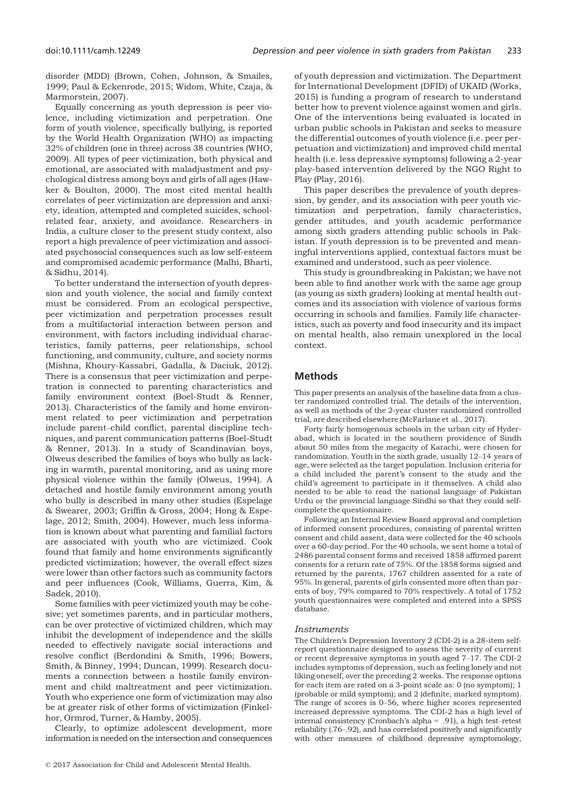disorder (MDD) (Brown, Cohen, Johnson, & Smailes, 1999; Paul & Eckenrode, 2015; Widom, White, Czaja, & Marmorstein, 2007).

Equally concerning as youth depression is peer violence, including victimization and perpetration. One form of youth violence, specifically bullying, is reported by the World Health Organization (WHO) as impacting 32% of children (one in three) across 38 countries (WHO, 2009). All types of peer victimization, both physical and emotional, are associated with maladjustment and psychological distress among boys and girls of all ages (Hawker & Boulton, 2000). The most cited mental health correlates of peer victimization are depression and anxiety, ideation, attempted and completed suicides, schoolrelated fear, anxiety, and avoidance. Researchers in India, a culture closer to the present study context, also report a high prevalence of peer victimization and associated psychosocial consequences such as low self-esteem and compromised academic performance (Malhi, Bharti, & Sidhu, 2014).

To better understand the intersection of youth depression and youth violence, the social and family context must be considered. From an ecological perspective, peer victimization and perpetration processes result from a multifactorial interaction between person and environment, with factors including individual characteristics, family patterns, peer relationships, school functioning, and community, culture, and society norms (Mishna, Khoury-Kassabri, Gadalla, & Daciuk, 2012). There is a consensus that peer victimization and perpetration is connected to parenting characteristics and family environment context (Boel-Studt & Renner, 2013). Characteristics of the family and home environment related to peer victimization and perpetration include parent–child conflict, parental discipline techniques, and parent communication patterns (Boel-Studt & Renner, 2013). In a study of Scandinavian boys, Olweus described the families of boys who bully as lacking in warmth, parental monitoring, and as using more physical violence within the family (Olweus, 1994). A detached and hostile family environment among youth who bully is described in many other studies (Espelage & Swearer, 2003; Griffin & Gross, 2004; Hong & Espelage, 2012; Smith, 2004). However, much less information is known about what parenting and familial factors are associated with youth who are victimized. Cook found that family and home environments significantly predicted victimization; however, the overall effect sizes were lower than other factors such as community factors and peer influences (Cook, Williams, Guerra, Kim, & Sadek, 2010).

Some families with peer victimized youth may be cohesive; yet sometimes parents, and in particular mothers, can be over protective of victimized children, which may inhibit the development of independence and the skills needed to effectively navigate social interactions and resolve conflict (Berdondini & Smith, 1996; Bowers, Smith, & Binney, 1994; Duncan, 1999). Research documents a connection between a hostile family environment and child maltreatment and peer victimization. Youth who experience one form of victimization may also be at greater risk of other forms of victimization (Finkelhor, Ormrod, Turner, & Hamby, 2005).

Clearly, to optimize adolescent development, more information is needed on the intersection and consequences of youth depression and victimization. The Department for International Development (DFID) of UKAID (Works, 2015) is funding a program of research to understand better how to prevent violence against women and girls. One of the interventions being evaluated is located in urban public schools in Pakistan and seeks to measure the differential outcomes of youth violence (i.e. peer perpetuation and victimization) and improved child mental health (i.e. less depressive symptoms) following a 2-year play-based intervention delivered by the NGO Right to Play (Play, 2016).

This paper describes the prevalence of youth depression, by gender, and its association with peer youth victimization and perpetration, family characteristics, gender attitudes, and youth academic performance among sixth graders attending public schools in Pakistan. If youth depression is to be prevented and meaningful interventions applied, contextual factors must be examined and understood, such as peer violence.

This study is groundbreaking in Pakistan; we have not been able to find another work with the same age group (as young as sixth graders) looking at mental health outcomes and its association with violence of various forms occurring in schools and families. Family life characteristics, such as poverty and food insecurity and its impact on mental health, also remain unexplored in the local context.

# **Methods**

This paper presents an analysis of the baseline data from a cluster randomized controlled trial. The details of the intervention, as well as methods of the 2-year cluster randomized controlled trial, are described elsewhere (McFarlane et al., 2017).

Forty fairly homogenous schools in the urban city of Hyderabad, which is located in the southern providence of Sindh about 50 miles from the megacity of Karachi, were chosen for randomization. Youth in the sixth grade, usually 12–14 years of age, were selected as the target population. Inclusion criteria for a child included the parent's consent to the study and the child's agreement to participate in it themselves. A child also needed to be able to read the national language of Pakistan Urdu or the provincial language Sindhi so that they could selfcomplete the questionnaire.

Following an Internal Review Board approval and completion of informed consent procedures, consisting of parental written consent and child assent, data were collected for the 40 schools over a 60-day period. For the 40 schools, we sent home a total of 2486 parental consent forms and received 1858 affirmed parent consents for a return rate of 75%. Of the 1858 forms signed and returned by the parents, 1767 children assented for a rate of 95%. In general, parents of girls consented more often than parents of boy, 79% compared to 70% respectively. A total of 1752 youth questionnaires were completed and entered into a SPSS database.

### Instruments

The Children's Depression Inventory 2 (CDI-2) is a 28-item selfreport questionnaire designed to assess the severity of current or recent depressive symptoms in youth aged 7–17. The CDI-2 includes symptoms of depression, such as feeling lonely and not liking oneself, over the preceding 2 weeks. The response options for each item are rated on a 3-point scale as: 0 (no symptom); 1 (probable or mild symptom); and 2 (definite, marked symptom). The range of scores is 0–56, where higher scores represented increased depressive symptoms. The CDI-2 has a high level of internal consistency (Cronbach's alpha = .91), a high test–retest reliability (.76–.92), and has correlated positively and significantly with other measures of childhood depressive symptomology,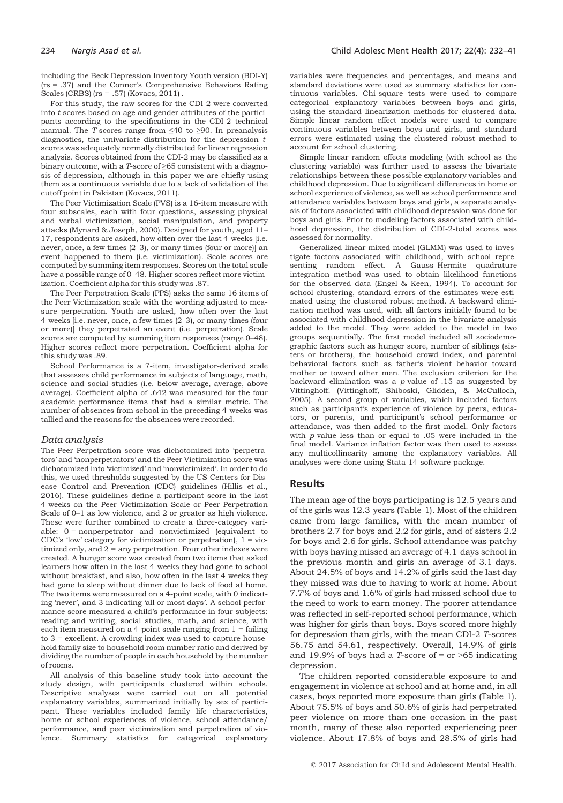including the Beck Depression Inventory Youth version (BDI-Y) (rs = .37) and the Conner's Comprehensive Behaviors Rating Scales (CRBS) (rs = .57) (Kovacs, 2011) .

For this study, the raw scores for the CDI-2 were converted into t-scores based on age and gender attributes of the participants according to the specifications in the CDI-2 technical manual. The T-scores range from ≤40 to ≥90. In preanalysis diagnostics, the univariate distribution for the depression tscores was adequately normally distributed for linear regression analysis. Scores obtained from the CDI-2 may be classified as a binary outcome, with a T-score of ≥65 consistent with a diagnosis of depression, although in this paper we are chiefly using them as a continuous variable due to a lack of validation of the cutoff point in Pakistan (Kovacs, 2011).

The Peer Victimization Scale (PVS) is a 16-item measure with four subscales, each with four questions, assessing physical and verbal victimization, social manipulation, and property attacks (Mynard & Joseph, 2000). Designed for youth, aged 11– 17, respondents are asked, how often over the last 4 weeks [i.e. never, once, a few times (2–3), or many times (four or more)] an event happened to them (i.e. victimization). Scale scores are computed by summing item responses. Scores on the total scale have a possible range of 0–48. Higher scores reflect more victimization. Coefficient alpha for this study was .87.

The Peer Perpetration Scale (PPS) asks the same 16 items of the Peer Victimization scale with the wording adjusted to measure perpetration. Youth are asked, how often over the last 4 weeks [i.e. never, once, a few times (2–3), or many times (four or more)] they perpetrated an event (i.e. perpetration). Scale scores are computed by summing item responses (range 0–48). Higher scores reflect more perpetration. Coefficient alpha for this study was .89.

School Performance is a 7-item, investigator-derived scale that assesses child performance in subjects of language, math, science and social studies (i.e. below average, average, above average). Coefficient alpha of .642 was measured for the four academic performance items that had a similar metric. The number of absences from school in the preceding 4 weeks was tallied and the reasons for the absences were recorded.

### Data analysis

The Peer Perpetration score was dichotomized into 'perpetrators' and 'nonperpetrators' and the Peer Victimization score was dichotomized into 'victimized' and 'nonvictimized'. In order to do this, we used thresholds suggested by the US Centers for Disease Control and Prevention (CDC) guidelines (Hillis et al., 2016). These guidelines define a participant score in the last 4 weeks on the Peer Victimization Scale or Peer Perpetration Scale of 0–1 as low violence, and 2 or greater as high violence. These were further combined to create a three-category variable: 0 = nonperpetrator and nonvictimized (equivalent to CDC's 'low' category for victimization or perpetration),  $1 =$  victimized only, and  $2 =$  any perpetration. Four other indexes were created. A hunger score was created from two items that asked learners how often in the last 4 weeks they had gone to school without breakfast, and also, how often in the last 4 weeks they had gone to sleep without dinner due to lack of food at home. The two items were measured on a 4-point scale, with 0 indicating 'never', and 3 indicating 'all or most days'. A school performance score measured a child's performance in four subjects: reading and writing, social studies, math, and science, with each item measured on a 4-point scale ranging from  $1 = \text{failing}$ to 3 = excellent. A crowding index was used to capture household family size to household room number ratio and derived by dividing the number of people in each household by the number of rooms.

All analysis of this baseline study took into account the study design, with participants clustered within schools. Descriptive analyses were carried out on all potential explanatory variables, summarized initially by sex of participant. These variables included family life characteristics, home or school experiences of violence, school attendance/ performance, and peer victimization and perpetration of violence. Summary statistics for categorical explanatory

variables were frequencies and percentages, and means and standard deviations were used as summary statistics for continuous variables. Chi-square tests were used to compare categorical explanatory variables between boys and girls, using the standard linearization methods for clustered data. Simple linear random effect models were used to compare continuous variables between boys and girls, and standard errors were estimated using the clustered robust method to account for school clustering.

Simple linear random effects modeling (with school as the clustering variable) was further used to assess the bivariate relationships between these possible explanatory variables and childhood depression. Due to significant differences in home or school experience of violence, as well as school performance and attendance variables between boys and girls, a separate analysis of factors associated with childhood depression was done for boys and girls. Prior to modeling factors associated with childhood depression, the distribution of CDI-2-total scores was assessed for normality.

Generalized linear mixed model (GLMM) was used to investigate factors associated with childhood, with school representing random effect. A Gauss–Hermite quadrature integration method was used to obtain likelihood functions for the observed data (Engel & Keen, 1994). To account for school clustering, standard errors of the estimates were estimated using the clustered robust method. A backward elimination method was used, with all factors initially found to be associated with childhood depression in the bivariate analysis added to the model. They were added to the model in two groups sequentially. The first model included all sociodemographic factors such as hunger score, number of siblings (sisters or brothers), the household crowd index, and parental behavioral factors such as father's violent behavior toward mother or toward other men. The exclusion criterion for the backward elimination was a  $p$ -value of .15 as suggested by Vittinghoff. (Vittinghoff, Shiboski, Glidden, & McCulloch, 2005). A second group of variables, which included factors such as participant's experience of violence by peers, educators, or parents, and participant's school performance or attendance, was then added to the first model. Only factors with p-value less than or equal to .05 were included in the final model. Variance inflation factor was then used to assess any multicollinearity among the explanatory variables. All analyses were done using Stata 14 software package.

# Results

The mean age of the boys participating is 12.5 years and of the girls was 12.3 years (Table 1). Most of the children came from large families, with the mean number of brothers 2.7 for boys and 2.2 for girls, and of sisters 2.2 for boys and 2.6 for girls. School attendance was patchy with boys having missed an average of 4.1 days school in the previous month and girls an average of 3.1 days. About 24.5% of boys and 14.2% of girls said the last day they missed was due to having to work at home. About 7.7% of boys and 1.6% of girls had missed school due to the need to work to earn money. The poorer attendance was reflected in self-reported school performance, which was higher for girls than boys. Boys scored more highly for depression than girls, with the mean CDI-2 T-scores 56.75 and 54.61, respectively. Overall, 14.9% of girls and 19.9% of boys had a T-score of  $=$  or  $>65$  indicating depression.

The children reported considerable exposure to and engagement in violence at school and at home and, in all cases, boys reported more exposure than girls (Table 1). About 75.5% of boys and 50.6% of girls had perpetrated peer violence on more than one occasion in the past month, many of these also reported experiencing peer violence. About 17.8% of boys and 28.5% of girls had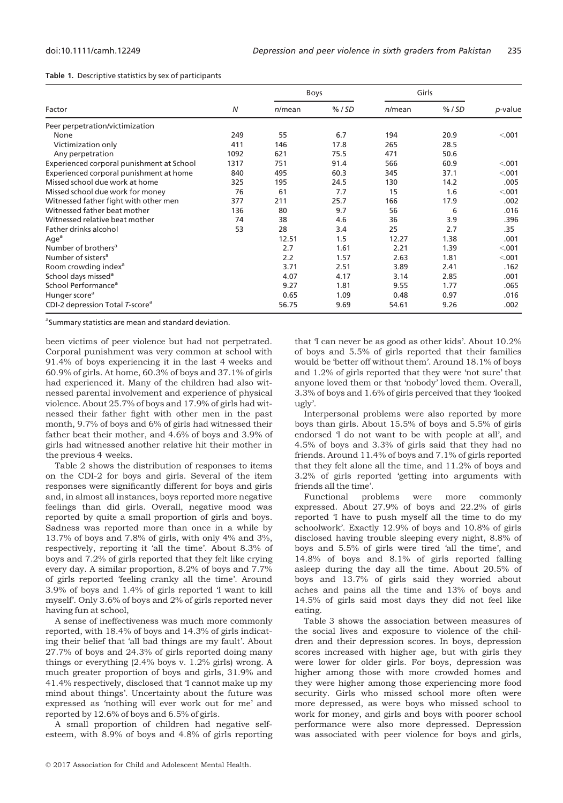|                                             |                | Boys   |        | Girls  |        |         |
|---------------------------------------------|----------------|--------|--------|--------|--------|---------|
| Factor                                      | $\overline{N}$ | n/mean | % / SD | n/mean | % / SD | p-value |
| Peer perpetration/victimization             |                |        |        |        |        |         |
| None                                        | 249            | 55     | 6.7    | 194    | 20.9   | < 0.01  |
| Victimization only                          | 411            | 146    | 17.8   | 265    | 28.5   |         |
| Any perpetration                            | 1092           | 621    | 75.5   | 471    | 50.6   |         |
| Experienced corporal punishment at School   | 1317           | 751    | 91.4   | 566    | 60.9   | < 0.01  |
| Experienced corporal punishment at home     | 840            | 495    | 60.3   | 345    | 37.1   | < 0.01  |
| Missed school due work at home              | 325            | 195    | 24.5   | 130    | 14.2   | .005    |
| Missed school due work for money            | 76             | 61     | 7.7    | 15     | 1.6    | < 0.01  |
| Witnessed father fight with other men       | 377            | 211    | 25.7   | 166    | 17.9   | .002    |
| Witnessed father beat mother                | 136            | 80     | 9.7    | 56     | 6      | .016    |
| Witnessed relative beat mother              | 74             | 38     | 4.6    | 36     | 3.9    | .396    |
| Father drinks alcohol                       | 53             | 28     | 3.4    | 25     | 2.7    | .35     |
| Age <sup>a</sup>                            |                | 12.51  | 1.5    | 12.27  | 1.38   | .001    |
| Number of brothers <sup>a</sup>             |                | 2.7    | 1.61   | 2.21   | 1.39   | < 0.01  |
| Number of sisters <sup>a</sup>              |                | 2.2    | 1.57   | 2.63   | 1.81   | < 0.01  |
| Room crowding index <sup>a</sup>            |                | 3.71   | 2.51   | 3.89   | 2.41   | .162    |
| School days missed <sup>a</sup>             |                | 4.07   | 4.17   | 3.14   | 2.85   | .001    |
| School Performance <sup>a</sup>             |                | 9.27   | 1.81   | 9.55   | 1.77   | .065    |
| Hunger score <sup>a</sup>                   |                | 0.65   | 1.09   | 0.48   | 0.97   | .016    |
| CDI-2 depression Total T-score <sup>a</sup> |                | 56.75  | 9.69   | 54.61  | 9.26   | .002    |

<sup>a</sup>Summary statistics are mean and standard deviation.

been victims of peer violence but had not perpetrated. Corporal punishment was very common at school with 91.4% of boys experiencing it in the last 4 weeks and 60.9% of girls. At home, 60.3% of boys and 37.1% of girls had experienced it. Many of the children had also witnessed parental involvement and experience of physical violence. About 25.7% of boys and 17.9% of girls had witnessed their father fight with other men in the past month, 9.7% of boys and 6% of girls had witnessed their father beat their mother, and 4.6% of boys and 3.9% of girls had witnessed another relative hit their mother in the previous 4 weeks.

Table 2 shows the distribution of responses to items on the CDI-2 for boys and girls. Several of the item responses were significantly different for boys and girls and, in almost all instances, boys reported more negative feelings than did girls. Overall, negative mood was reported by quite a small proportion of girls and boys. Sadness was reported more than once in a while by 13.7% of boys and 7.8% of girls, with only 4% and 3%, respectively, reporting it 'all the time'. About 8.3% of boys and 7.2% of girls reported that they felt like crying every day. A similar proportion, 8.2% of boys and 7.7% of girls reported 'feeling cranky all the time'. Around 3.9% of boys and 1.4% of girls reported 'I want to kill myself'. Only 3.6% of boys and 2% of girls reported never having fun at school,

A sense of ineffectiveness was much more commonly reported, with 18.4% of boys and 14.3% of girls indicating their belief that 'all bad things are my fault'. About 27.7% of boys and 24.3% of girls reported doing many things or everything (2.4% boys v. 1.2% girls) wrong. A much greater proportion of boys and girls, 31.9% and 41.4% respectively, disclosed that 'I cannot make up my mind about things'. Uncertainty about the future was expressed as 'nothing will ever work out for me' and reported by 12.6% of boys and 6.5% of girls.

A small proportion of children had negative selfesteem, with 8.9% of boys and 4.8% of girls reporting that 'I can never be as good as other kids'. About 10.2% of boys and 5.5% of girls reported that their families would be 'better off without them'. Around 18.1% of boys and 1.2% of girls reported that they were 'not sure' that anyone loved them or that 'nobody' loved them. Overall, 3.3% of boys and 1.6% of girls perceived that they 'looked ugly'.

Interpersonal problems were also reported by more boys than girls. About 15.5% of boys and 5.5% of girls endorsed 'I do not want to be with people at all', and 4.5% of boys and 3.3% of girls said that they had no friends. Around 11.4% of boys and 7.1% of girls reported that they felt alone all the time, and 11.2% of boys and 3.2% of girls reported 'getting into arguments with friends all the time'.

Functional problems were more commonly expressed. About 27.9% of boys and 22.2% of girls reported 'I have to push myself all the time to do my schoolwork'. Exactly 12.9% of boys and 10.8% of girls disclosed having trouble sleeping every night, 8.8% of boys and 5.5% of girls were tired 'all the time', and 14.8% of boys and 8.1% of girls reported falling asleep during the day all the time. About 20.5% of boys and 13.7% of girls said they worried about aches and pains all the time and 13% of boys and 14.5% of girls said most days they did not feel like eating.

Table 3 shows the association between measures of the social lives and exposure to violence of the children and their depression scores. In boys, depression scores increased with higher age, but with girls they were lower for older girls. For boys, depression was higher among those with more crowded homes and they were higher among those experiencing more food security. Girls who missed school more often were more depressed, as were boys who missed school to work for money, and girls and boys with poorer school performance were also more depressed. Depression was associated with peer violence for boys and girls,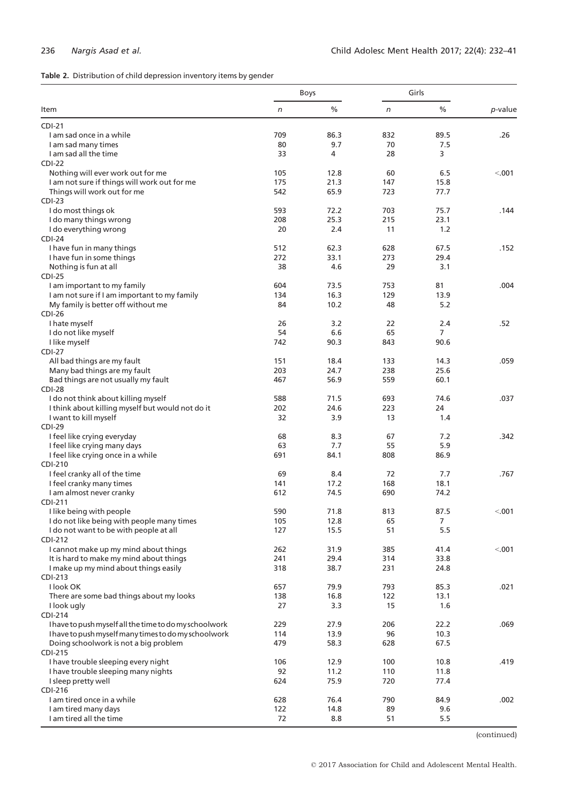|                                                                                    |            | Boys         | Girls      |                |         |
|------------------------------------------------------------------------------------|------------|--------------|------------|----------------|---------|
| Item                                                                               | n          | $\%$         | $\sqrt{n}$ | $\%$           | p-value |
| $CDI-21$                                                                           |            |              |            |                |         |
| I am sad once in a while                                                           | 709        | 86.3         | 832        | 89.5           | .26     |
| I am sad many times                                                                | 80         | 9.7          | 70         | 7.5            |         |
| I am sad all the time                                                              | 33         | 4            | 28         | 3              |         |
| <b>CDI-22</b>                                                                      |            |              |            |                |         |
| Nothing will ever work out for me                                                  | 105        | 12.8         | 60         | 6.5            | < 0.01  |
| I am not sure if things will work out for me<br>Things will work out for me        | 175<br>542 | 21.3<br>65.9 | 147<br>723 | 15.8<br>77.7   |         |
| $CDI-23$                                                                           |            |              |            |                |         |
| I do most things ok                                                                | 593        | 72.2         | 703        | 75.7           | .144    |
| I do many things wrong                                                             | 208        | 25.3         | 215        | 23.1           |         |
| I do everything wrong                                                              | 20         | 2.4          | 11         | 1.2            |         |
| $CDI-24$                                                                           |            |              |            |                |         |
| I have fun in many things                                                          | 512        | 62.3         | 628        | 67.5           | .152    |
| I have fun in some things                                                          | 272        | 33.1         | 273        | 29.4           |         |
| Nothing is fun at all                                                              | 38         | 4.6          | 29         | 3.1            |         |
| $CDI-25$                                                                           |            |              |            |                |         |
| I am important to my family                                                        | 604        | 73.5<br>16.3 | 753        | 81<br>13.9     | .004    |
| I am not sure if I am important to my family<br>My family is better off without me | 134<br>84  | 10.2         | 129<br>48  | 5.2            |         |
| $CDI-26$                                                                           |            |              |            |                |         |
| I hate myself                                                                      | 26         | 3.2          | 22         | 2.4            | .52     |
| I do not like myself                                                               | 54         | 6.6          | 65         | $\overline{7}$ |         |
| I like myself                                                                      | 742        | 90.3         | 843        | 90.6           |         |
| $CDI-27$                                                                           |            |              |            |                |         |
| All bad things are my fault                                                        | 151        | 18.4         | 133        | 14.3           | .059    |
| Many bad things are my fault                                                       | 203        | 24.7         | 238        | 25.6           |         |
| Bad things are not usually my fault                                                | 467        | 56.9         | 559        | 60.1           |         |
| $CDI-28$                                                                           |            |              |            |                |         |
| I do not think about killing myself                                                | 588        | 71.5         | 693        | 74.6           | .037    |
| I think about killing myself but would not do it                                   | 202        | 24.6         | 223        | 24             |         |
| I want to kill myself<br><b>CDI-29</b>                                             | 32         | 3.9          | 13         | 1.4            |         |
| I feel like crying everyday                                                        | 68         | 8.3          | 67         | 7.2            | .342    |
| I feel like crying many days                                                       | 63         | 7.7          | 55         | 5.9            |         |
| I feel like crying once in a while                                                 | 691        | 84.1         | 808        | 86.9           |         |
| CDI-210                                                                            |            |              |            |                |         |
| I feel cranky all of the time                                                      | 69         | 8.4          | 72         | 7.7            | .767    |
| I feel cranky many times                                                           | 141        | 17.2         | 168        | 18.1           |         |
| I am almost never cranky                                                           | 612        | 74.5         | 690        | 74.2           |         |
| <b>CDI-211</b>                                                                     |            |              |            |                |         |
| I like being with people                                                           | 590        | 71.8         | 813        | 87.5           | < 001   |
| I do not like being with people many times                                         | 105        | 12.8         | 65         | 7              |         |
| I do not want to be with people at all<br>CDI-212                                  | 127        | 15.5         | 51         | 5.5            |         |
| I cannot make up my mind about things                                              | 262        | 31.9         | 385        | 41.4           | < 0.01  |
| It is hard to make my mind about things                                            | 241        | 29.4         | 314        | 33.8           |         |
| I make up my mind about things easily                                              | 318        | 38.7         | 231        | 24.8           |         |
| CDI-213                                                                            |            |              |            |                |         |
| I look OK                                                                          | 657        | 79.9         | 793        | 85.3           | .021    |
| There are some bad things about my looks                                           | 138        | 16.8         | 122        | 13.1           |         |
| I look ugly                                                                        | 27         | 3.3          | 15         | 1.6            |         |
| CDI-214                                                                            |            |              |            |                |         |
| I have to push myself all the time to do my schoolwork                             | 229        | 27.9         | 206        | 22.2           | .069    |
| I have to push myself many times to do my schoolwork                               | 114        | 13.9         | 96         | 10.3           |         |
| Doing schoolwork is not a big problem                                              | 479        | 58.3         | 628        | 67.5           |         |
| CDI-215<br>I have trouble sleeping every night                                     | 106        | 12.9         | 100        | 10.8           | .419    |
| I have trouble sleeping many nights                                                | 92         | 11.2         | 110        | 11.8           |         |
| I sleep pretty well                                                                | 624        | 75.9         | 720        | 77.4           |         |
| CDI-216                                                                            |            |              |            |                |         |
| I am tired once in a while                                                         | 628        | 76.4         | 790        | 84.9           | .002    |
| I am tired many days                                                               | 122        | 14.8         | 89         | 9.6            |         |
| I am tired all the time                                                            | 72         | 8.8          | 51         | 5.5            |         |

(continued)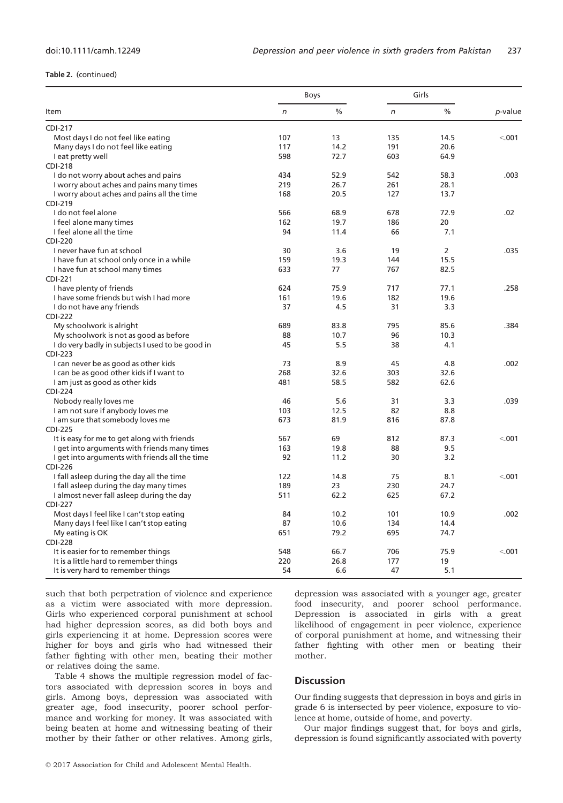#### Table 2. (continued)

|                                                  |            | <b>Boys</b>  | Girls      |                |         |
|--------------------------------------------------|------------|--------------|------------|----------------|---------|
| Item                                             | $\sqrt{n}$ | $\%$         | $\sqrt{n}$ | $\frac{0}{0}$  | p-value |
| <b>CDI-217</b>                                   |            |              |            |                |         |
| Most days I do not feel like eating              | 107        | 13           | 135        | 14.5           | < 0.001 |
| Many days I do not feel like eating              | 117        | 14.2         | 191        | 20.6           |         |
| I eat pretty well                                | 598        | 72.7         | 603        | 64.9           |         |
| CDI-218                                          |            |              |            |                |         |
| I do not worry about aches and pains             | 434        | 52.9         | 542        | 58.3           | .003    |
| I worry about aches and pains many times         | 219        | 26.7         | 261        | 28.1           |         |
| I worry about aches and pains all the time       | 168        | 20.5         | 127        | 13.7           |         |
| <b>CDI-219</b>                                   |            |              |            |                |         |
| I do not feel alone                              | 566        | 68.9         | 678        | 72.9           | .02     |
| I feel alone many times                          | 162        | 19.7         | 186        | 20             |         |
| I feel alone all the time                        | 94         | 11.4         | 66         | 7.1            |         |
| <b>CDI-220</b>                                   |            |              |            |                |         |
| I never have fun at school                       | 30         | 3.6          | 19         | $\overline{2}$ | .035    |
| I have fun at school only once in a while        | 159        | 19.3         | 144        | 15.5           |         |
| I have fun at school many times                  | 633        | 77           | 767        | 82.5           |         |
| <b>CDI-221</b>                                   |            |              |            |                |         |
| I have plenty of friends                         | 624        | 75.9         | 717        | 77.1           | .258    |
| I have some friends but wish I had more          | 161        | 19.6         | 182        | 19.6           |         |
| I do not have any friends                        | 37         | 4.5          | 31         | 3.3            |         |
| <b>CDI-222</b>                                   |            |              |            |                |         |
| My schoolwork is alright                         | 689        | 83.8         | 795        | 85.6           | .384    |
| My schoolwork is not as good as before           | 88         | 10.7         | 96         | 10.3           |         |
| I do very badly in subjects I used to be good in | 45         | 5.5          | 38         | 4.1            |         |
| <b>CDI-223</b>                                   |            |              |            |                |         |
| I can never be as good as other kids             | 73         | 8.9          | 45         | 4.8            | .002    |
| I can be as good other kids if I want to         | 268        | 32.6         | 303        | 32.6           |         |
| I am just as good as other kids                  | 481        | 58.5         | 582        | 62.6           |         |
| <b>CDI-224</b>                                   |            |              |            |                |         |
| Nobody really loves me                           | 46         | 5.6          | 31         | 3.3            | .039    |
| I am not sure if anybody loves me                | 103        | 12.5         | 82         | 8.8            |         |
| I am sure that somebody loves me                 | 673        | 81.9         | 816        | 87.8           |         |
| <b>CDI-225</b>                                   |            |              |            |                |         |
| It is easy for me to get along with friends      | 567        | 69           | 812        | 87.3           | < 0.001 |
| I get into arguments with friends many times     | 163        | 19.8         | 88         | 9.5            |         |
| I get into arguments with friends all the time   | 92         | 11.2         | 30         | 3.2            |         |
| <b>CDI-226</b>                                   |            |              |            |                |         |
| I fall asleep during the day all the time        | 122        | 14.8         | 75         | 8.1            | < 0.001 |
| I fall asleep during the day many times          | 189<br>511 | 23<br>62.2   | 230<br>625 | 24.7<br>67.2   |         |
| I almost never fall asleep during the day        |            |              |            |                |         |
| <b>CDI-227</b>                                   |            |              |            |                |         |
| Most days I feel like I can't stop eating        | 84         | 10.2         | 101        | 10.9           | .002    |
| Many days I feel like I can't stop eating        | 87         | 10.6         | 134        | 14.4           |         |
| My eating is OK<br><b>CDI-228</b>                | 651        | 79.2         | 695        | 74.7           |         |
|                                                  | 548        |              | 706        | 75.9           | < 0.01  |
| It is easier for to remember things              | 220        | 66.7<br>26.8 | 177        | 19             |         |
| It is a little hard to remember things           |            |              |            |                |         |
| It is very hard to remember things               | 54         | 6.6          | 47         | 5.1            |         |

such that both perpetration of violence and experience as a victim were associated with more depression. Girls who experienced corporal punishment at school had higher depression scores, as did both boys and girls experiencing it at home. Depression scores were higher for boys and girls who had witnessed their father fighting with other men, beating their mother or relatives doing the same.

Table 4 shows the multiple regression model of factors associated with depression scores in boys and girls. Among boys, depression was associated with greater age, food insecurity, poorer school performance and working for money. It was associated with being beaten at home and witnessing beating of their mother by their father or other relatives. Among girls, depression was associated with a younger age, greater food insecurity, and poorer school performance. Depression is associated in girls with a great likelihood of engagement in peer violence, experience of corporal punishment at home, and witnessing their father fighting with other men or beating their mother.

# **Discussion**

Our finding suggests that depression in boys and girls in grade 6 is intersected by peer violence, exposure to violence at home, outside of home, and poverty.

Our major findings suggest that, for boys and girls, depression is found significantly associated with poverty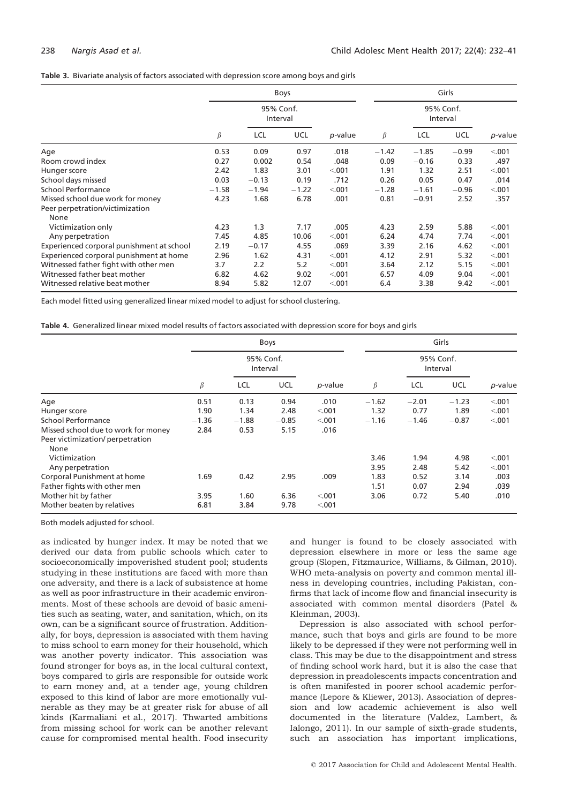#### Table 3. Bivariate analysis of factors associated with depression score among boys and girls

|                                           | <b>Boys</b> |                       |         |         | Girls   |                       |            |         |
|-------------------------------------------|-------------|-----------------------|---------|---------|---------|-----------------------|------------|---------|
|                                           |             | 95% Conf.<br>Interval |         |         |         | 95% Conf.<br>Interval |            |         |
|                                           | $\beta$     | LCL                   | UCL     | p-value | $\beta$ | LCL                   | <b>UCL</b> | p-value |
| Age                                       | 0.53        | 0.09                  | 0.97    | .018    | $-1.42$ | $-1.85$               | $-0.99$    | < 0.01  |
| Room crowd index                          | 0.27        | 0.002                 | 0.54    | .048    | 0.09    | $-0.16$               | 0.33       | .497    |
| Hunger score                              | 2.42        | 1.83                  | 3.01    | < 0.001 | 1.91    | 1.32                  | 2.51       | < 0.01  |
| School days missed                        | 0.03        | $-0.13$               | 0.19    | .712    | 0.26    | 0.05                  | 0.47       | .014    |
| School Performance                        | $-1.58$     | $-1.94$               | $-1.22$ | < 0.01  | $-1.28$ | $-1.61$               | $-0.96$    | < 0.01  |
| Missed school due work for money          | 4.23        | 1.68                  | 6.78    | .001    | 0.81    | $-0.91$               | 2.52       | .357    |
| Peer perpetration/victimization<br>None   |             |                       |         |         |         |                       |            |         |
| Victimization only                        | 4.23        | 1.3                   | 7.17    | .005    | 4.23    | 2.59                  | 5.88       | < 0.01  |
| Any perpetration                          | 7.45        | 4.85                  | 10.06   | < 0.001 | 6.24    | 4.74                  | 7.74       | < 0.01  |
| Experienced corporal punishment at school | 2.19        | $-0.17$               | 4.55    | .069    | 3.39    | 2.16                  | 4.62       | < 0.01  |
| Experienced corporal punishment at home   | 2.96        | 1.62                  | 4.31    | < 0.01  | 4.12    | 2.91                  | 5.32       | < 0.01  |
| Witnessed father fight with other men     | 3.7         | 2.2                   | 5.2     | < 0.001 | 3.64    | 2.12                  | 5.15       | < 0.01  |
| Witnessed father beat mother              | 6.82        | 4.62                  | 9.02    | < 0.01  | 6.57    | 4.09                  | 9.04       | < 0.01  |
| Witnessed relative beat mother            | 8.94        | 5.82                  | 12.07   | < 0.001 | 6.4     | 3.38                  | 9.42       | < 0.01  |

Each model fitted using generalized linear mixed model to adjust for school clustering.

Table 4. Generalized linear mixed model results of factors associated with depression score for boys and girls

|                                          | <b>Boys</b> |                       |         |         | Girls   |                       |         |         |
|------------------------------------------|-------------|-----------------------|---------|---------|---------|-----------------------|---------|---------|
|                                          |             | 95% Conf.<br>Interval |         |         |         | 95% Conf.<br>Interval |         |         |
|                                          | $\beta$     | LCL                   | UCL     | p-value | $\beta$ | LCL                   | UCL     | p-value |
| Age                                      | 0.51        | 0.13                  | 0.94    | .010    | $-1.62$ | $-2.01$               | $-1.23$ | < 0.01  |
| Hunger score                             | 1.90        | 1.34                  | 2.48    | < 0.001 | 1.32    | 0.77                  | 1.89    | < 0.01  |
| <b>School Performance</b>                | $-1.36$     | $-1.88$               | $-0.85$ | < 0.01  | $-1.16$ | $-1.46$               | $-0.87$ | < 0.01  |
| Missed school due to work for money      | 2.84        | 0.53                  | 5.15    | .016    |         |                       |         |         |
| Peer victimization/ perpetration<br>None |             |                       |         |         |         |                       |         |         |
| Victimization                            |             |                       |         |         | 3.46    | 1.94                  | 4.98    | < 0.01  |
| Any perpetration                         |             |                       |         |         | 3.95    | 2.48                  | 5.42    | < 0.01  |
| Corporal Punishment at home              | 1.69        | 0.42                  | 2.95    | .009    | 1.83    | 0.52                  | 3.14    | .003    |
| Father fights with other men             |             |                       |         |         | 1.51    | 0.07                  | 2.94    | .039    |
| Mother hit by father                     | 3.95        | 1.60                  | 6.36    | < 0.001 | 3.06    | 0.72                  | 5.40    | .010    |
| Mother beaten by relatives               | 6.81        | 3.84                  | 9.78    | < 0.001 |         |                       |         |         |

Both models adjusted for school.

as indicated by hunger index. It may be noted that we derived our data from public schools which cater to socioeconomically impoverished student pool; students studying in these institutions are faced with more than one adversity, and there is a lack of subsistence at home as well as poor infrastructure in their academic environments. Most of these schools are devoid of basic amenities such as seating, water, and sanitation, which, on its own, can be a significant source of frustration. Additionally, for boys, depression is associated with them having to miss school to earn money for their household, which was another poverty indicator. This association was found stronger for boys as, in the local cultural context, boys compared to girls are responsible for outside work to earn money and, at a tender age, young children exposed to this kind of labor are more emotionally vulnerable as they may be at greater risk for abuse of all kinds (Karmaliani et al., 2017). Thwarted ambitions from missing school for work can be another relevant cause for compromised mental health. Food insecurity

and hunger is found to be closely associated with depression elsewhere in more or less the same age group (Slopen, Fitzmaurice, Williams, & Gilman, 2010). WHO meta-analysis on poverty and common mental illness in developing countries, including Pakistan, confirms that lack of income flow and financial insecurity is associated with common mental disorders (Patel & Kleinman, 2003).

Depression is also associated with school performance, such that boys and girls are found to be more likely to be depressed if they were not performing well in class. This may be due to the disappointment and stress of finding school work hard, but it is also the case that depression in preadolescents impacts concentration and is often manifested in poorer school academic performance (Lepore & Kliewer, 2013). Association of depression and low academic achievement is also well documented in the literature (Valdez, Lambert, & Ialongo, 2011). In our sample of sixth-grade students, such an association has important implications,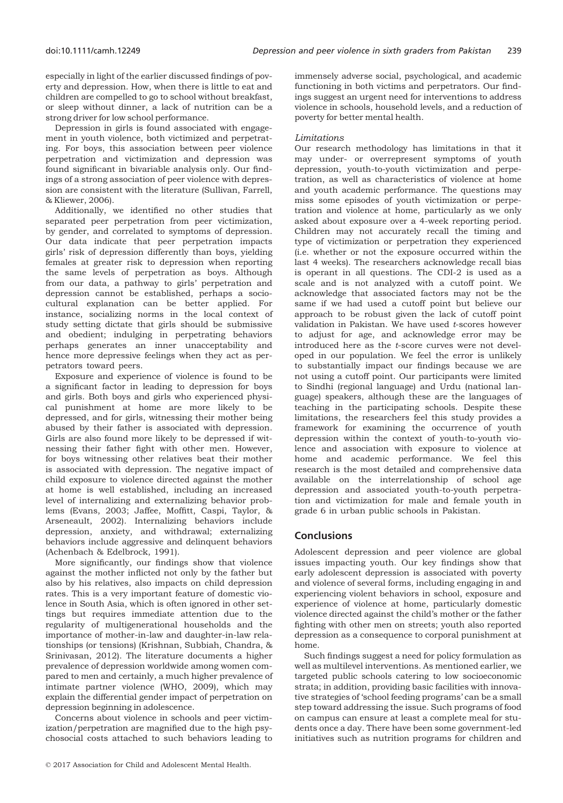especially in light of the earlier discussed findings of poverty and depression. How, when there is little to eat and children are compelled to go to school without breakfast, or sleep without dinner, a lack of nutrition can be a strong driver for low school performance.

Depression in girls is found associated with engagement in youth violence, both victimized and perpetrating. For boys, this association between peer violence perpetration and victimization and depression was found significant in bivariable analysis only. Our findings of a strong association of peer violence with depression are consistent with the literature (Sullivan, Farrell, & Kliewer, 2006).

Additionally, we identified no other studies that separated peer perpetration from peer victimization, by gender, and correlated to symptoms of depression. Our data indicate that peer perpetration impacts girls' risk of depression differently than boys, yielding females at greater risk to depression when reporting the same levels of perpetration as boys. Although from our data, a pathway to girls' perpetration and depression cannot be established, perhaps a sociocultural explanation can be better applied. For instance, socializing norms in the local context of study setting dictate that girls should be submissive and obedient; indulging in perpetrating behaviors perhaps generates an inner unacceptability and hence more depressive feelings when they act as perpetrators toward peers.

Exposure and experience of violence is found to be a significant factor in leading to depression for boys and girls. Both boys and girls who experienced physical punishment at home are more likely to be depressed, and for girls, witnessing their mother being abused by their father is associated with depression. Girls are also found more likely to be depressed if witnessing their father fight with other men. However, for boys witnessing other relatives beat their mother is associated with depression. The negative impact of child exposure to violence directed against the mother at home is well established, including an increased level of internalizing and externalizing behavior problems (Evans, 2003; Jaffee, Moffitt, Caspi, Taylor, & Arseneault, 2002). Internalizing behaviors include depression, anxiety, and withdrawal; externalizing behaviors include aggressive and delinquent behaviors (Achenbach & Edelbrock, 1991).

More significantly, our findings show that violence against the mother inflicted not only by the father but also by his relatives, also impacts on child depression rates. This is a very important feature of domestic violence in South Asia, which is often ignored in other settings but requires immediate attention due to the regularity of multigenerational households and the importance of mother-in-law and daughter-in-law relationships (or tensions) (Krishnan, Subbiah, Chandra, & Srinivasan, 2012). The literature documents a higher prevalence of depression worldwide among women compared to men and certainly, a much higher prevalence of intimate partner violence (WHO, 2009), which may explain the differential gender impact of perpetration on depression beginning in adolescence.

Concerns about violence in schools and peer victimization/perpetration are magnified due to the high psychosocial costs attached to such behaviors leading to

immensely adverse social, psychological, and academic functioning in both victims and perpetrators. Our findings suggest an urgent need for interventions to address violence in schools, household levels, and a reduction of poverty for better mental health.

# Limitations

Our research methodology has limitations in that it may under- or overrepresent symptoms of youth depression, youth-to-youth victimization and perpetration, as well as characteristics of violence at home and youth academic performance. The questions may miss some episodes of youth victimization or perpetration and violence at home, particularly as we only asked about exposure over a 4-week reporting period. Children may not accurately recall the timing and type of victimization or perpetration they experienced (i.e. whether or not the exposure occurred within the last 4 weeks). The researchers acknowledge recall bias is operant in all questions. The CDI-2 is used as a scale and is not analyzed with a cutoff point. We acknowledge that associated factors may not be the same if we had used a cutoff point but believe our approach to be robust given the lack of cutoff point validation in Pakistan. We have used t-scores however to adjust for age, and acknowledge error may be introduced here as the t-score curves were not developed in our population. We feel the error is unlikely to substantially impact our findings because we are not using a cutoff point. Our participants were limited to Sindhi (regional language) and Urdu (national language) speakers, although these are the languages of teaching in the participating schools. Despite these limitations, the researchers feel this study provides a framework for examining the occurrence of youth depression within the context of youth-to-youth violence and association with exposure to violence at home and academic performance. We feel this research is the most detailed and comprehensive data available on the interrelationship of school age depression and associated youth-to-youth perpetration and victimization for male and female youth in grade 6 in urban public schools in Pakistan.

# **Conclusions**

Adolescent depression and peer violence are global issues impacting youth. Our key findings show that early adolescent depression is associated with poverty and violence of several forms, including engaging in and experiencing violent behaviors in school, exposure and experience of violence at home, particularly domestic violence directed against the child's mother or the father fighting with other men on streets; youth also reported depression as a consequence to corporal punishment at home.

Such findings suggest a need for policy formulation as well as multilevel interventions. As mentioned earlier, we targeted public schools catering to low socioeconomic strata; in addition, providing basic facilities with innovative strategies of 'school feeding programs' can be a small step toward addressing the issue. Such programs of food on campus can ensure at least a complete meal for students once a day. There have been some government-led initiatives such as nutrition programs for children and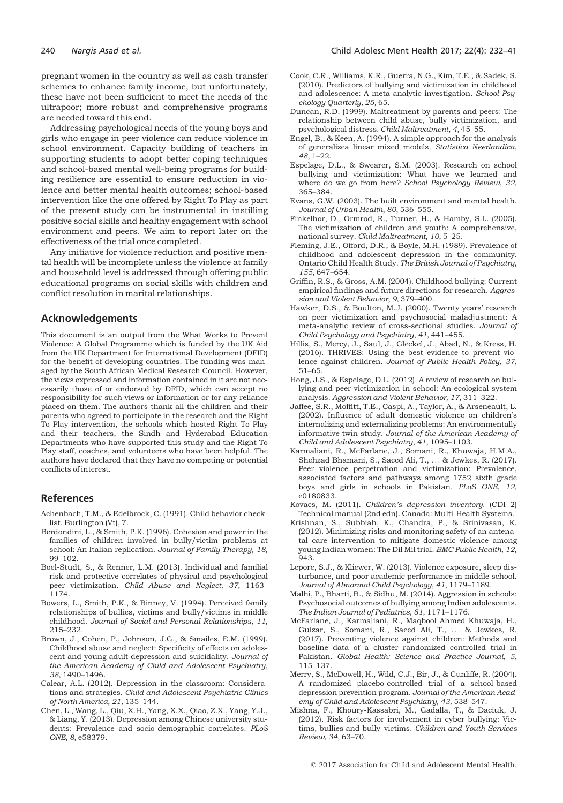pregnant women in the country as well as cash transfer schemes to enhance family income, but unfortunately, these have not been sufficient to meet the needs of the ultrapoor; more robust and comprehensive programs are needed toward this end.

Addressing psychological needs of the young boys and girls who engage in peer violence can reduce violence in school environment. Capacity building of teachers in supporting students to adopt better coping techniques and school-based mental well-being programs for building resilience are essential to ensure reduction in violence and better mental health outcomes; school-based intervention like the one offered by Right To Play as part of the present study can be instrumental in instilling positive social skills and healthy engagement with school environment and peers. We aim to report later on the effectiveness of the trial once completed.

Any initiative for violence reduction and positive mental health will be incomplete unless the violence at family and household level is addressed through offering public educational programs on social skills with children and conflict resolution in marital relationships.

## Acknowledgements

This document is an output from the What Works to Prevent Violence: A Global Programme which is funded by the UK Aid from the UK Department for International Development (DFID) for the benefit of developing countries. The funding was managed by the South African Medical Research Council. However, the views expressed and information contained in it are not necessarily those of or endorsed by DFID, which can accept no responsibility for such views or information or for any reliance placed on them. The authors thank all the children and their parents who agreed to participate in the research and the Right To Play intervention, the schools which hosted Right To Play and their teachers, the Sindh and Hyderabad Education Departments who have supported this study and the Right To Play staff, coaches, and volunteers who have been helpful. The authors have declared that they have no competing or potential conflicts of interest.

# References

- Achenbach, T.M., & Edelbrock, C. (1991). Child behavior checklist. Burlington (Vt), 7.
- Berdondini, L., & Smith, P.K. (1996). Cohesion and power in the families of children involved in bully/victim problems at school: An Italian replication. Journal of Family Therapy, 18, 99–102.
- Boel-Studt, S., & Renner, L.M. (2013). Individual and familial risk and protective correlates of physical and psychological peer victimization. Child Abuse and Neglect, 37, 1163– 1174.
- Bowers, L., Smith, P.K., & Binney, V. (1994). Perceived family relationships of bullies, victims and bully/victims in middle childhood. Journal of Social and Personal Relationships, 11, 215–232.
- Brown, J., Cohen, P., Johnson, J.G., & Smailes, E.M. (1999). Childhood abuse and neglect: Specificity of effects on adolescent and young adult depression and suicidality. Journal of the American Academy of Child and Adolescent Psychiatry, 38, 1490–1496.
- Calear, A.L. (2012). Depression in the classroom: Considerations and strategies. Child and Adolescent Psychiatric Clinics of North America, 21, 135–144.
- Chen, L., Wang, L., Qiu, X.H., Yang, X.X., Qiao, Z.X., Yang, Y.J., & Liang, Y. (2013). Depression among Chinese university students: Prevalence and socio-demographic correlates. PLoS ONE, 8, e58379.
- Cook, C.R., Williams, K.R., Guerra, N.G., Kim, T.E., & Sadek, S. (2010). Predictors of bullying and victimization in childhood and adolescence: A meta-analytic investigation. School Psychology Quarterly, 25, 65.
- Duncan, R.D. (1999). Maltreatment by parents and peers: The relationship between child abuse, bully victimization, and psychological distress. Child Maltreatment, 4, 45–55.
- Engel, B., & Keen, A. (1994). A simple approach for the analysis of generalizea linear mixed models. Statistica Neerlandica, 48, 1–22.
- Espelage, D.L., & Swearer, S.M. (2003). Research on school bullying and victimization: What have we learned and where do we go from here? School Psychology Review, 32, 365–384.
- Evans, G.W. (2003). The built environment and mental health. Journal of Urban Health, 80, 536–555.
- Finkelhor, D., Ormrod, R., Turner, H., & Hamby, S.L. (2005). The victimization of children and youth: A comprehensive, national survey. Child Maltreatment, 10, 5–25.
- Fleming, J.E., Offord, D.R., & Boyle, M.H. (1989). Prevalence of childhood and adolescent depression in the community. Ontario Child Health Study. The British Journal of Psychiatry, 155, 647–654.
- Griffin, R.S., & Gross, A.M. (2004). Childhood bullying: Current empirical findings and future directions for research. Aggression and Violent Behavior, 9, 379–400.
- Hawker, D.S., & Boulton, M.J. (2000). Twenty years' research on peer victimization and psychosocial maladjustment: A meta-analytic review of cross-sectional studies. Journal of Child Psychology and Psychiatry, 41, 441–455.
- Hillis, S., Mercy, J., Saul, J., Gleckel, J., Abad, N., & Kress, H. (2016). THRIVES: Using the best evidence to prevent violence against children. Journal of Public Health Policy, 37, 51–65.
- Hong, J.S., & Espelage, D.L. (2012). A review of research on bullying and peer victimization in school: An ecological system analysis. Aggression and Violent Behavior, 17, 311–322.
- Jaffee, S.R., Moffitt, T.E., Caspi, A., Taylor, A., & Arseneault, L. (2002). Influence of adult domestic violence on children's internalizing and externalizing problems: An environmentally informative twin study. Journal of the American Academy of Child and Adolescent Psychiatry, 41, 1095–1103.
- Karmaliani, R., McFarlane, J., Somani, R., Khuwaja, H.M.A., Shehzad Bhamani, S., Saeed Ali, T., ... & Jewkes, R. (2017). Peer violence perpetration and victimization: Prevalence, associated factors and pathways among 1752 sixth grade boys and girls in schools in Pakistan. PLoS ONE, 12, e0180833.
- Kovacs, M. (2011). Children's depression inventory. (CDI 2) Technical manual (2nd edn). Canada: Multi-Health Systems.
- Krishnan, S., Subbiah, K., Chandra, P., & Srinivasan, K. (2012). Minimizing risks and monitoring safety of an antenatal care intervention to mitigate domestic violence among young Indian women: The Dil Mil trial. BMC Public Health, 12, 943.
- Lepore, S.J., & Kliewer, W. (2013). Violence exposure, sleep disturbance, and poor academic performance in middle school. Journal of Abnormal Child Psychology, 41, 1179–1189.
- Malhi, P., Bharti, B., & Sidhu, M. (2014). Aggression in schools: Psychosocial outcomes of bullying among Indian adolescents. The Indian Journal of Pediatrics, 81, 1171–1176.
- McFarlane, J., Karmaliani, R., Maqbool Ahmed Khuwaja, H., Gulzar, S., Somani, R., Saeed Ali, T., ... & Jewkes, R. (2017). Preventing violence against children: Methods and baseline data of a cluster randomized controlled trial in Pakistan. Global Health: Science and Practice Journal, 5, 115–137.
- Merry, S., McDowell, H., Wild, C.J., Bir, J., & Cunliffe, R. (2004). A randomized placebo-controlled trial of a school-based depression prevention program. Journal of the American Academy of Child and Adolescent Psychiatry, 43, 538–547.
- Mishna, F., Khoury-Kassabri, M., Gadalla, T., & Daciuk, J. (2012). Risk factors for involvement in cyber bullying: Victims, bullies and bully–victims. Children and Youth Services Review, 34, 63–70.